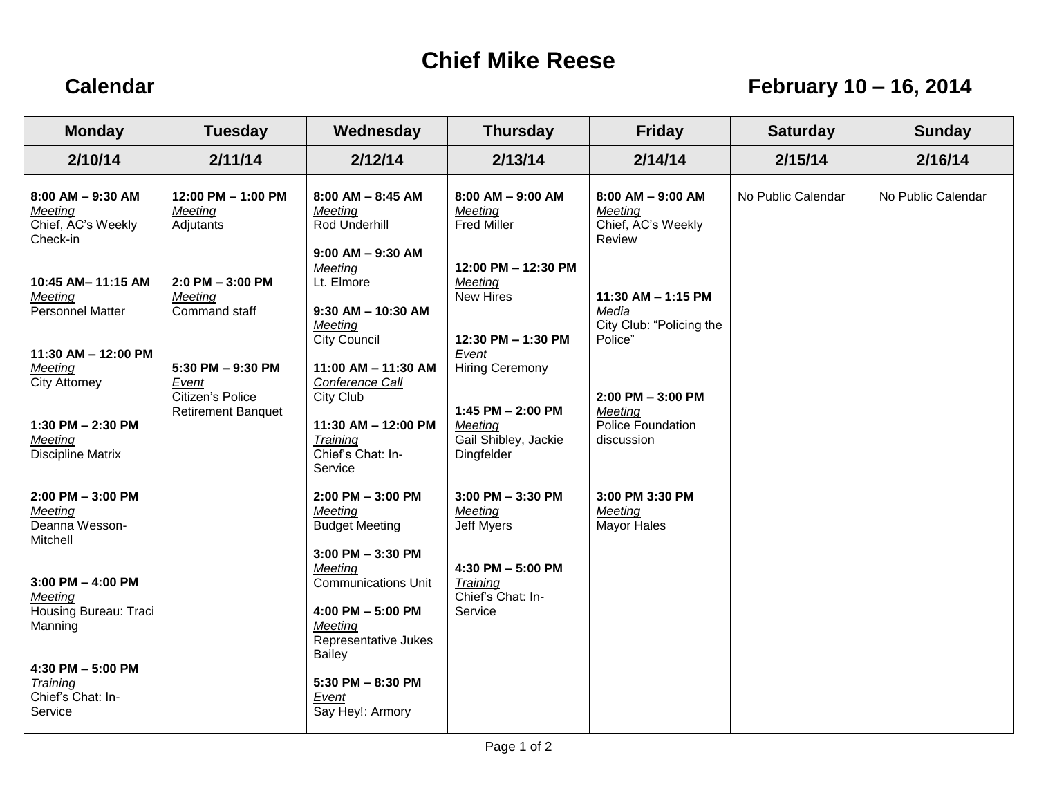## **Chief Mike Reese**

## **Calendar February 10 – 16, 2014**

| <b>Monday</b>                                                        | <b>Tuesday</b>                                                              | Wednesday                                                                                                      | <b>Thursday</b>                                                   | <b>Friday</b>                                                      | <b>Saturday</b>    | <b>Sunday</b>      |
|----------------------------------------------------------------------|-----------------------------------------------------------------------------|----------------------------------------------------------------------------------------------------------------|-------------------------------------------------------------------|--------------------------------------------------------------------|--------------------|--------------------|
| 2/10/14                                                              | 2/11/14                                                                     | 2/12/14                                                                                                        | 2/13/14                                                           | 2/14/14                                                            | 2/15/14            | 2/16/14            |
| 8:00 AM - 9:30 AM<br>Meeting<br>Chief, AC's Weekly<br>Check-in       | 12:00 PM - 1:00 PM<br>Meeting<br>Adjutants                                  | $8:00$ AM $- 8:45$ AM<br>Meeting<br>Rod Underhill<br>$9:00$ AM $-9:30$ AM                                      | $8:00$ AM $-9:00$ AM<br>Meeting<br><b>Fred Miller</b>             | $8:00$ AM $-$ 9:00 AM<br>Meeting<br>Chief, AC's Weekly<br>Review   | No Public Calendar | No Public Calendar |
| 10:45 AM-11:15 AM<br><b>Meeting</b><br>Personnel Matter              | $2:0$ PM $-3:00$ PM<br>Meeting<br>Command staff                             | Meeting<br>Lt. Elmore<br>$9:30$ AM - 10:30 AM<br>Meeting<br><b>City Council</b>                                | 12:00 PM - 12:30 PM<br>Meeting<br>New Hires<br>12:30 PM - 1:30 PM | 11:30 AM - 1:15 PM<br>Media<br>City Club: "Policing the<br>Police" |                    |                    |
| $11:30$ AM $- 12:00$ PM<br>Meeting<br><b>City Attorney</b>           | 5:30 PM - 9:30 PM<br>Event<br>Citizen's Police<br><b>Retirement Banquet</b> | 11:00 AM - 11:30 AM<br>Conference Call<br>City Club                                                            | Event<br><b>Hiring Ceremony</b><br>1:45 PM - 2:00 PM              | $2:00$ PM $-3:00$ PM<br>Meeting                                    |                    |                    |
| 1:30 PM $- 2:30$ PM<br>Meeting<br><b>Discipline Matrix</b>           |                                                                             | 11:30 AM - 12:00 PM<br>Training<br>Chief's Chat: In-<br>Service                                                | Meeting<br>Gail Shibley, Jackie<br>Dingfelder                     | Police Foundation<br>discussion                                    |                    |                    |
| 2:00 PM - 3:00 PM<br>Meeting<br>Deanna Wesson-<br>Mitchell           |                                                                             | $2:00$ PM $-3:00$ PM<br>Meeting<br><b>Budget Meeting</b><br>$3:00$ PM $-3:30$ PM                               | $3:00$ PM $-3:30$ PM<br>Meeting<br><b>Jeff Myers</b>              | 3:00 PM 3:30 PM<br>Meeting<br>Mayor Hales                          |                    |                    |
| $3:00$ PM $-$ 4:00 PM<br>Meeting<br>Housing Bureau: Traci<br>Manning |                                                                             | Meeting<br><b>Communications Unit</b><br>4:00 PM - 5:00 PM<br>Meeting<br>Representative Jukes<br><b>Bailey</b> | 4:30 PM - 5:00 PM<br>Training<br>Chief's Chat: In-<br>Service     |                                                                    |                    |                    |
| 4:30 PM $- 5:00$ PM<br>Training<br>Chief's Chat: In-<br>Service      |                                                                             | $5:30$ PM $- 8:30$ PM<br>Event<br>Say Hey!: Armory                                                             |                                                                   |                                                                    |                    |                    |